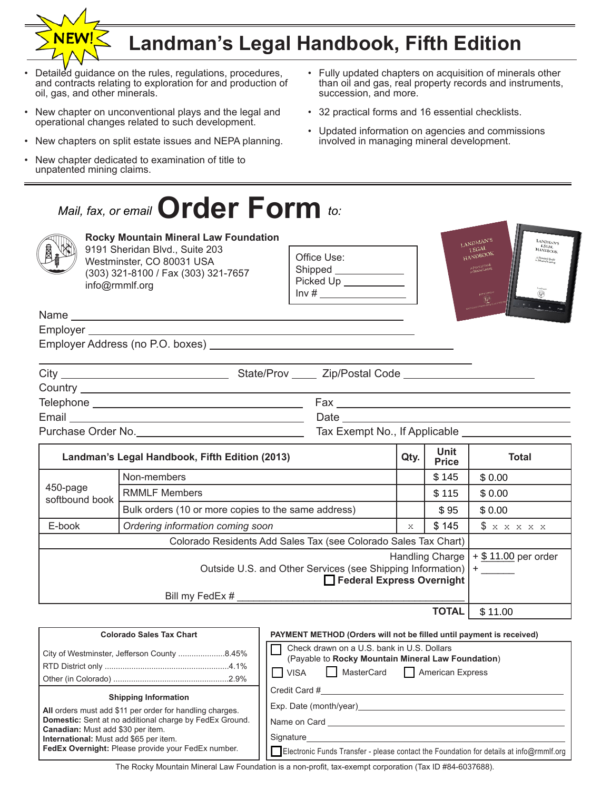# **Landman's Legal Handbook, Fifth Edition**

succession, and more.

- Detailed guidance on the rules, regulations, procedures, and contracts relating to exploration for and production of oil, gas, and other minerals.
- New chapter on unconventional plays and the legal and operational changes related to such development.
- New chapters on split estate issues and NEPA planning.
- New chapter dedicated to examination of title to unpatented mining claims.

### **Order Form** *Mail, fax, or email* **UFACEFFOFIN** to:



### **Rocky Mountain Mineral Law Foundation**

9191 Sheridan Blvd., Suite 203 Westminster, CO 80031 USA (303) 321-8100 / Fax (303) 321-7657 info@rmmlf.org

Office Use: Shipped \_\_ Picked Up  $Inv#$ 



• Fully updated chapters on acquisition of minerals other than oil and gas, real property records and instruments,

• 32 practical forms and 16 essential checklists.

• Updated information on agencies and commissions involved in managing mineral development.

Name Employer \_\_

Employer Address (no P.O. boxes)

| City                                                                                                         |                                  |
|--------------------------------------------------------------------------------------------------------------|----------------------------------|
|                                                                                                              |                                  |
| Telephone<br>the contract of the contract of the contract of the contract of the contract of the contract of | Fax                              |
| Email                                                                                                        | Date                             |
| Purchase Order No.                                                                                           | Tax Exempt No., If Applicable __ |

| Landman's Legal Handbook, Fifth Edition (2013)                                              |                                                     | Qty.                                    | <b>Unit</b><br><b>Price</b> | <b>Total</b>       |
|---------------------------------------------------------------------------------------------|-----------------------------------------------------|-----------------------------------------|-----------------------------|--------------------|
| 450-page<br>softbound book                                                                  | Non-members                                         |                                         | \$145                       | \$0.00             |
|                                                                                             | <b>RMMLF Members</b>                                |                                         | \$115                       | \$0.00             |
|                                                                                             | Bulk orders (10 or more copies to the same address) |                                         | \$95                        | \$0.00             |
| E-book                                                                                      | Ordering information coming soon                    | X                                       | \$145                       | \$<br><b>XXXXX</b> |
| Colorado Residents Add Sales Tax (see Colorado Sales Tax Chart)                             |                                                     |                                         |                             |                    |
| Outside U.S. and Other Services (see Shipping Information)   +<br>Federal Express Overnight |                                                     | Handling Charge $  + $ 11.00$ per order |                             |                    |
|                                                                                             | Bill my FedEx #                                     |                                         |                             |                    |
| <b>TOTAL</b>                                                                                |                                                     |                                         | \$11.00                     |                    |

| <b>Colorado Sales Tax Chart</b>                                                                                                                                                                                                                                                                       | PAYMENT METHOD (Orders will not be filled until payment is received)                                                                                            |  |  |
|-------------------------------------------------------------------------------------------------------------------------------------------------------------------------------------------------------------------------------------------------------------------------------------------------------|-----------------------------------------------------------------------------------------------------------------------------------------------------------------|--|--|
| City of Westminster, Jefferson County 8.45%                                                                                                                                                                                                                                                           | Check drawn on a U.S. bank in U.S. Dollars<br>(Payable to Rocky Mountain Mineral Law Foundation)<br>MasterCard<br>American Express<br><b>I</b> VISA             |  |  |
| <b>Shipping Information</b><br>All orders must add \$11 per order for handling charges.<br><b>Domestic:</b> Sent at no additional charge by FedEx Ground.<br><b>Canadian:</b> Must add \$30 per item.<br>International: Must add \$65 per item.<br>FedEx Overnight: Please provide your FedEx number. | Credit Card #<br>Exp. Date (month/year)<br>Name on Card<br>Signature<br>Electronic Funds Transfer - please contact the Foundation for details at info@rmmlf.org |  |  |

The Rocky Mountain Mineral Law Foundation is a non-profit, tax-exempt corporation (Tax ID #84-6037688).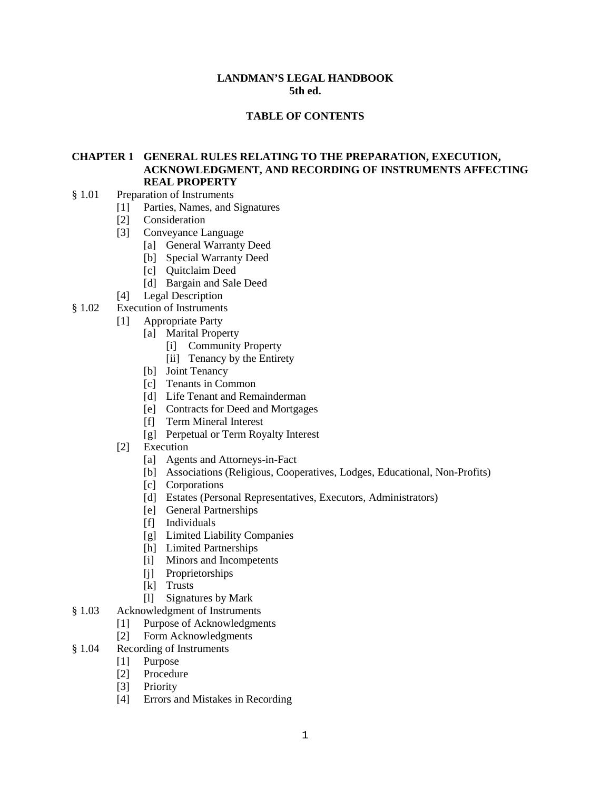#### **LANDMAN'S LEGAL HANDBOOK 5th ed.**

### **TABLE OF CONTENTS**

### **CHAPTER 1 GENERAL RULES RELATING TO THE PREPARATION, EXECUTION, ACKNOWLEDGMENT, AND RECORDING OF INSTRUMENTS AFFECTING REAL PROPERTY**

- § 1.01 Preparation of Instruments
	- [1] Parties, Names, and Signatures
	- [2] Consideration
	- [3] Conveyance Language
		- [a] General Warranty Deed
		- [b] Special Warranty Deed
		- [c] Ouitclaim Deed
		- [d] Bargain and Sale Deed
	- [4] Legal Description
- § 1.02 Execution of Instruments
	- [1] Appropriate Party
		- [a] Marital Property
			- [i] Community Property
			- [ii] Tenancy by the Entirety
			- [b] Joint Tenancy
			- [c] Tenants in Common
			- [d] Life Tenant and Remainderman
			- [e] Contracts for Deed and Mortgages
			- [f] Term Mineral Interest
			- [g] Perpetual or Term Royalty Interest
	- [2] Execution
		- [a] Agents and Attorneys-in-Fact
		- [b] Associations (Religious, Cooperatives, Lodges, Educational, Non-Profits)
		- [c] Corporations
		- [d] Estates (Personal Representatives, Executors, Administrators)
		- [e] General Partnerships
		- [f] Individuals
		- [g] Limited Liability Companies
		- [h] Limited Partnerships
		- [i] Minors and Incompetents
		- [j] Proprietorships
		- [k] Trusts
		- [l] Signatures by Mark
- § 1.03 Acknowledgment of Instruments
	- [1] Purpose of Acknowledgments<br>[2] Form Acknowledgments
	- Form Acknowledgments
- § 1.04 Recording of Instruments
	- [1] Purpose
	- [2] Procedure
	- [3] Priority
	- [4] Errors and Mistakes in Recording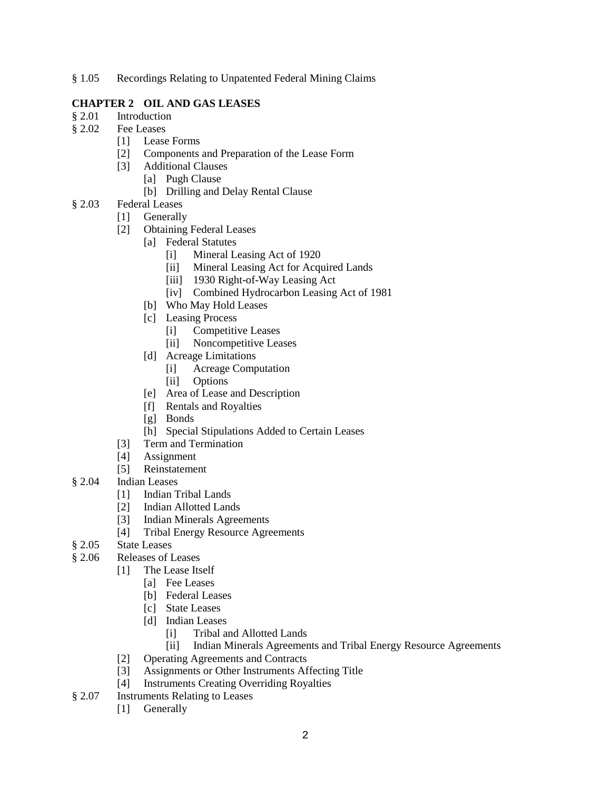§ 1.05 Recordings Relating to Unpatented Federal Mining Claims

### **CHAPTER 2 OIL AND GAS LEASES**

- § 2.01 Introduction
- § 2.02 Fee Leases
	- [1] Lease Forms
	- [2] Components and Preparation of the Lease Form
	- [3] Additional Clauses
		- [a] Pugh Clause
		- [b] Drilling and Delay Rental Clause
- § 2.03 Federal Leases
	- [1] Generally
	- [2] Obtaining Federal Leases
		- [a] Federal Statutes
			- [i] Mineral Leasing Act of 1920
			- [ii] Mineral Leasing Act for Acquired Lands
			- [iii] 1930 Right-of-Way Leasing Act
			- [iv] Combined Hydrocarbon Leasing Act of 1981]
		- [b] Who May Hold Leases
		- [c] Leasing Process
			- [i] Competitive Leases
			- [ii] Noncompetitive Leases
		- [d] Acreage Limitations
			- [i] Acreage Computation
			- [ii] Options
		- [e] Area of Lease and Description
		- [f] Rentals and Royalties
		- [g] Bonds
		- [h] Special Stipulations Added to Certain Leases
	- [3] Term and Termination
	- [4] Assignment
	- [5] Reinstatement
- § 2.04 Indian Leases
	- [1] Indian Tribal Lands
	- [2] Indian Allotted Lands
	- [3] Indian Minerals Agreements
	- [4] Tribal Energy Resource Agreements
- § 2.05 State Leases
- § 2.06 Releases of Leases
	- [1] The Lease Itself
		- [a] Fee Leases
		- [b] Federal Leases
		- [c] State Leases
		- [d] Indian Leases
			- [i] Tribal and Allotted Lands
			- [ii] Indian Minerals Agreements and Tribal Energy Resource Agreements
	- [2] Operating Agreements and Contracts
	- [3] Assignments or Other Instruments Affecting Title
	- [4] Instruments Creating Overriding Royalties
- § 2.07 Instruments Relating to Leases
	- [1] Generally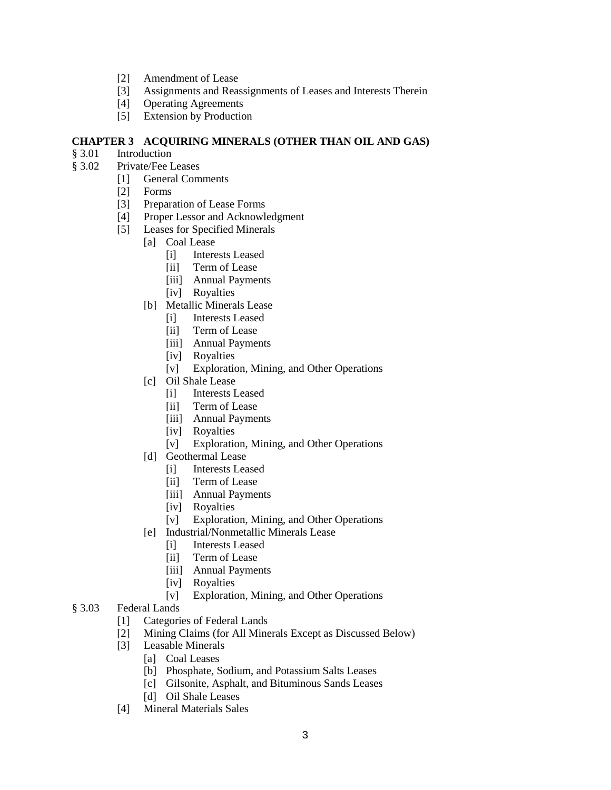- [2] Amendment of Lease
- [3] Assignments and Reassignments of Leases and Interests Therein
- [4] Operating Agreements
- [5] Extension by Production

### **CHAPTER 3 ACQUIRING MINERALS (OTHER THAN OIL AND GAS)**

- Introduction
- § 3.02 Private/Fee Leases
	- [1] General Comments
	- [2] Forms
	- [3] Preparation of Lease Forms
	- [4] Proper Lessor and Acknowledgment
	- [5] Leases for Specified Minerals
		- [a] Coal Lease
			- [i] Interests Leased
			- [ii] Term of Lease
			- [iii] Annual Payments
			- [iv] Royalties
		- [b] Metallic Minerals Lease
			- [i] Interests Leased
			- [ii] Term of Lease
			- [iii] Annual Payments
			- [iv] Royalties
			- [v] Exploration, Mining, and Other Operations
		- [c] Oil Shale Lease
			- [i] Interests Leased
			- [ii] Term of Lease
			- [iii] Annual Payments
			- [iv] Royalties
			- [v] Exploration, Mining, and Other Operations
		- [d] Geothermal Lease
			- [i] Interests Leased
			- [ii] Term of Lease
			- [iii] Annual Payments
			- [iv] Royalties
			- [v] Exploration, Mining, and Other Operations
		- [e] Industrial/Nonmetallic Minerals Lease
			- [i] Interests Leased
			- [ii] Term of Lease
			- [iii] Annual Payments
			- [iv] Royalties
			- [v] Exploration, Mining, and Other Operations

### § 3.03 Federal Lands

- [1] Categories of Federal Lands
- [2] Mining Claims (for All Minerals Except as Discussed Below)
- [3] Leasable Minerals
	- [a] Coal Leases
	- [b] Phosphate, Sodium, and Potassium Salts Leases
	- [c] Gilsonite, Asphalt, and Bituminous Sands Leases
	- [d] Oil Shale Leases
- [4] Mineral Materials Sales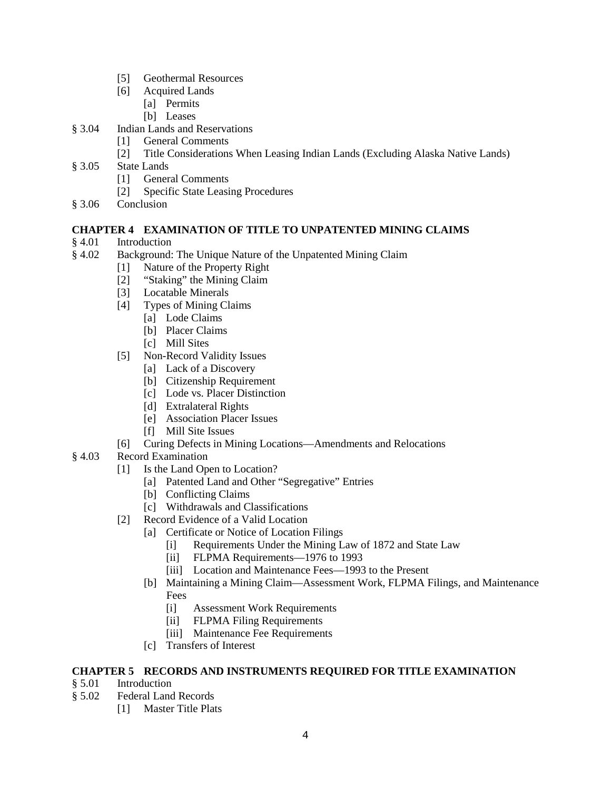- [5] Geothermal Resources
- [6] Acquired Lands
	- [a] Permits
	- [b] Leases
- § 3.04 Indian Lands and Reservations
	- [1] General Comments
	- [2] Title Considerations When Leasing Indian Lands (Excluding Alaska Native Lands)
- § 3.05 State Lands
	- [1] General Comments
	- [2] Specific State Leasing Procedures
- § 3.06 Conclusion

## **CHAPTER 4 EXAMINATION OF TITLE TO UNPATENTED MINING CLAIMS**

- **Introduction**
- § 4.02 Background: The Unique Nature of the Unpatented Mining Claim
	- [1] Nature of the Property Right
	- [2] "Staking" the Mining Claim
	- [3] Locatable Minerals
	- [4] Types of Mining Claims
		- [a] Lode Claims
		- [b] Placer Claims
		- [c] Mill Sites
	- [5] Non-Record Validity Issues
		- [a] Lack of a Discovery
		- [b] Citizenship Requirement
		- [c] Lode vs. Placer Distinction
		- [d] Extralateral Rights
		- [e] Association Placer Issues
		- [f] Mill Site Issues
	- [6] Curing Defects in Mining Locations—Amendments and Relocations
- § 4.03 Record Examination
	- [1] Is the Land Open to Location?
		- [a] Patented Land and Other "Segregative" Entries
		- [b] Conflicting Claims
		- [c] Withdrawals and Classifications
	- [2] Record Evidence of a Valid Location
		- [a] Certificate or Notice of Location Filings
			- [i] Requirements Under the Mining Law of 1872 and State Law
			- [ii] FLPMA Requirements—1976 to 1993
			- [iii] Location and Maintenance Fees—1993 to the Present
		- [b] Maintaining a Mining Claim—Assessment Work, FLPMA Filings, and Maintenance Fees
			- [i] Assessment Work Requirements
			- [ii] FLPMA Filing Requirements
			- [iii] Maintenance Fee Requirements
		- [c] Transfers of Interest

### **CHAPTER 5 RECORDS AND INSTRUMENTS REQUIRED FOR TITLE EXAMINATION**

- § 5.01 Introduction
- § 5.02 Federal Land Records
	- [1] Master Title Plats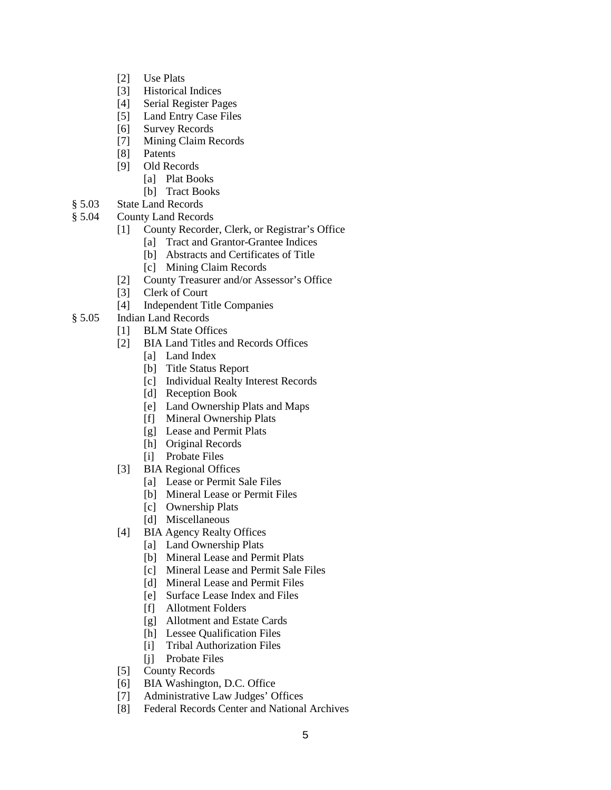- [2] Use Plats
- [3] Historical Indices
- [4] Serial Register Pages
- [5] Land Entry Case Files
- [6] Survey Records
- [7] Mining Claim Records
- [8] Patents
- [9] Old Records
	- [a] Plat Books
	- [b] Tract Books
- § 5.03 State Land Records
- § 5.04 County Land Records
	- [1] County Recorder, Clerk, or Registrar's Office
		- [a] Tract and Grantor-Grantee Indices
		- [b] Abstracts and Certificates of Title
		- [c] Mining Claim Records
	- [2] County Treasurer and/or Assessor's Office
	- [3] Clerk of Court
	- [4] Independent Title Companies
- § 5.05 Indian Land Records
	- [1] BLM State Offices
	- [2] BIA Land Titles and Records Offices
		- [a] Land Index
		- [b] Title Status Report
		- [c] Individual Realty Interest Records
		- [d] Reception Book
		- [e] Land Ownership Plats and Maps
		- [f] Mineral Ownership Plats
		- [g] Lease and Permit Plats
		- [h] Original Records
		- [i] Probate Files
	- [3] BIA Regional Offices
		- [a] Lease or Permit Sale Files
		- [b] Mineral Lease or Permit Files
		- [c] Ownership Plats
		- [d] Miscellaneous
	- [4] BIA Agency Realty Offices
		- [a] Land Ownership Plats
		- [b] Mineral Lease and Permit Plats
		- [c] Mineral Lease and Permit Sale Files
		- [d] Mineral Lease and Permit Files
		- [e] Surface Lease Index and Files
		- [f] Allotment Folders
		- [g] Allotment and Estate Cards
		- [h] Lessee Qualification Files
		- [i] Tribal Authorization Files
		- [j] Probate Files
	- [5] County Records
	- [6] BIA Washington, D.C. Office
	- [7] Administrative Law Judges' Offices
	- [8] Federal Records Center and National Archives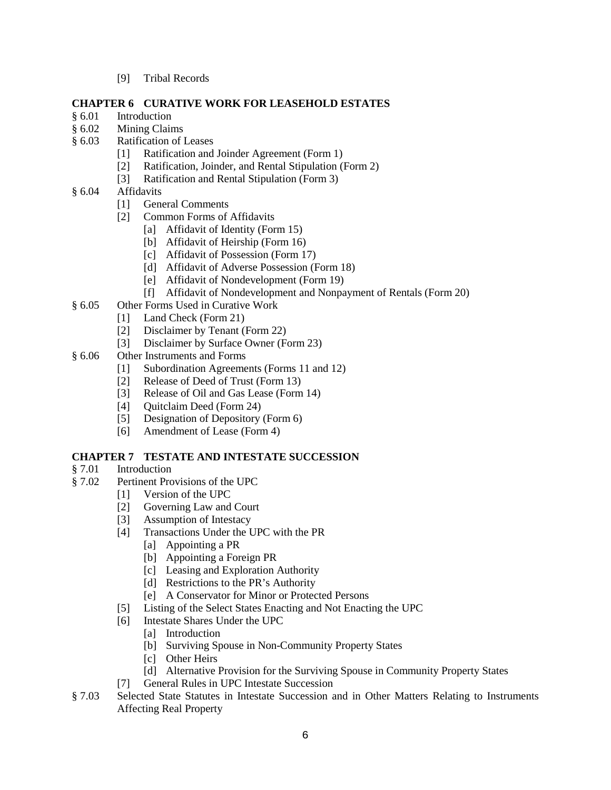[9] Tribal Records

### **CHAPTER 6 CURATIVE WORK FOR LEASEHOLD ESTATES**

- § 6.01 Introduction
- § 6.02 Mining Claims
- § 6.03 Ratification of Leases
	- [1] Ratification and Joinder Agreement (Form 1)
	- [2] Ratification, Joinder, and Rental Stipulation (Form 2)
	- [3] Ratification and Rental Stipulation (Form 3)
- § 6.04 Affidavits
	- [1] General Comments
	- [2] Common Forms of Affidavits
		- [a] Affidavit of Identity (Form 15)
		- [b] Affidavit of Heirship (Form 16)
		- [c] Affidavit of Possession (Form 17)
		- [d] Affidavit of Adverse Possession (Form 18)
		- [e] Affidavit of Nondevelopment (Form 19)
		- [f] Affidavit of Nondevelopment and Nonpayment of Rentals (Form 20)
- § 6.05 Other Forms Used in Curative Work
	- [1] Land Check (Form 21)
	- [2] Disclaimer by Tenant (Form 22)
	- [3] Disclaimer by Surface Owner (Form 23)
- § 6.06 Other Instruments and Forms
	- [1] Subordination Agreements (Forms 11 and 12)
	- [2] Release of Deed of Trust (Form 13)
	- [3] Release of Oil and Gas Lease (Form 14)
	- [4] Quitclaim Deed (Form 24)
	- [5] Designation of Depository (Form 6)
	- [6] Amendment of Lease (Form 4)

### **CHAPTER 7 TESTATE AND INTESTATE SUCCESSION**

- § 7.01 Introduction
- § 7.02 Pertinent Provisions of the UPC
	- [1] Version of the UPC
	- [2] Governing Law and Court
	- [3] Assumption of Intestacy
	- [4] Transactions Under the UPC with the PR
		- [a] Appointing a PR
		- [b] Appointing a Foreign PR
		- [c] Leasing and Exploration Authority
		- [d] Restrictions to the PR's Authority
		- [e] A Conservator for Minor or Protected Persons
	- [5] Listing of the Select States Enacting and Not Enacting the UPC
	- [6] Intestate Shares Under the UPC
		- [a] Introduction
		- [b] Surviving Spouse in Non-Community Property States
		- [c] Other Heirs
		- [d] Alternative Provision for the Surviving Spouse in Community Property States
	- [7] General Rules in UPC Intestate Succession
- § 7.03 Selected State Statutes in Intestate Succession and in Other Matters Relating to Instruments Affecting Real Property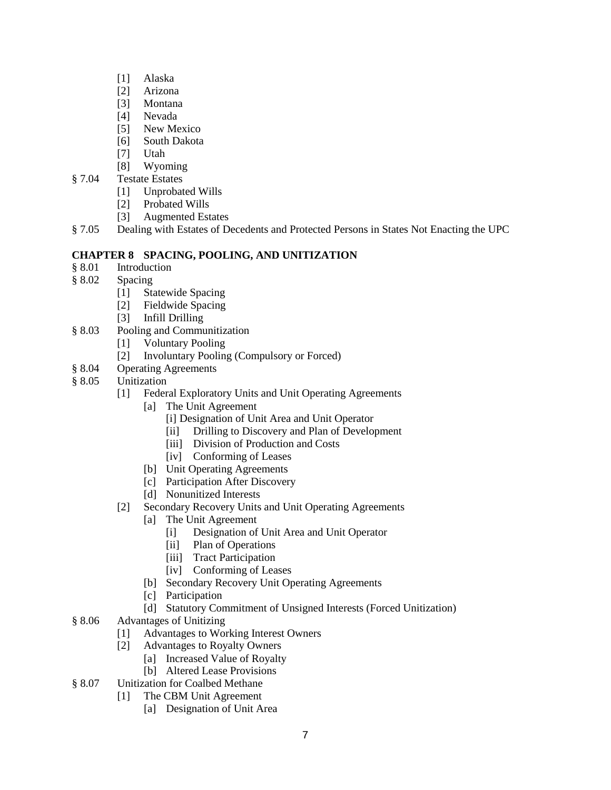- [1] Alaska
- [2] Arizona
- [3] Montana
- [4] Nevada
- [5] New Mexico
- [6] South Dakota
- [7] Utah
- [8] Wyoming
- § 7.04 Testate Estates
	- [1] Unprobated Wills
	- [2] Probated Wills
	- [3] Augmented Estates
- § 7.05 Dealing with Estates of Decedents and Protected Persons in States Not Enacting the UPC

### **CHAPTER 8 SPACING, POOLING, AND UNITIZATION**

- § 8.01 Introduction
- § 8.02 Spacing
	- [1] Statewide Spacing
	- [2] Fieldwide Spacing
	- [3] Infill Drilling
- § 8.03 Pooling and Communitization
	- [1] Voluntary Pooling
	- [2] Involuntary Pooling (Compulsory or Forced)
- § 8.04 Operating Agreements
- § 8.05 Unitization
	- [1] Federal Exploratory Units and Unit Operating Agreements
		- [a] The Unit Agreement
			- [i] Designation of Unit Area and Unit Operator
			- [ii] Drilling to Discovery and Plan of Development
			- [iii] Division of Production and Costs
			- [iv] Conforming of Leases
			- [b] Unit Operating Agreements
			- [c] Participation After Discovery
		- [d] Nonunitized Interests
	- [2] Secondary Recovery Units and Unit Operating Agreements
		- [a] The Unit Agreement
			- [i] Designation of Unit Area and Unit Operator
			- [ii] Plan of Operations
			- [iii] Tract Participation
			- [iv] Conforming of Leases
		- [b] Secondary Recovery Unit Operating Agreements
		- [c] Participation
		- [d] Statutory Commitment of Unsigned Interests (Forced Unitization)
- § 8.06 Advantages of Unitizing
	- [1] Advantages to Working Interest Owners
	- [2] Advantages to Royalty Owners
		- [a] Increased Value of Royalty
		- [b] Altered Lease Provisions
- § 8.07 Unitization for Coalbed Methane
	- [1] The CBM Unit Agreement
		- [a] Designation of Unit Area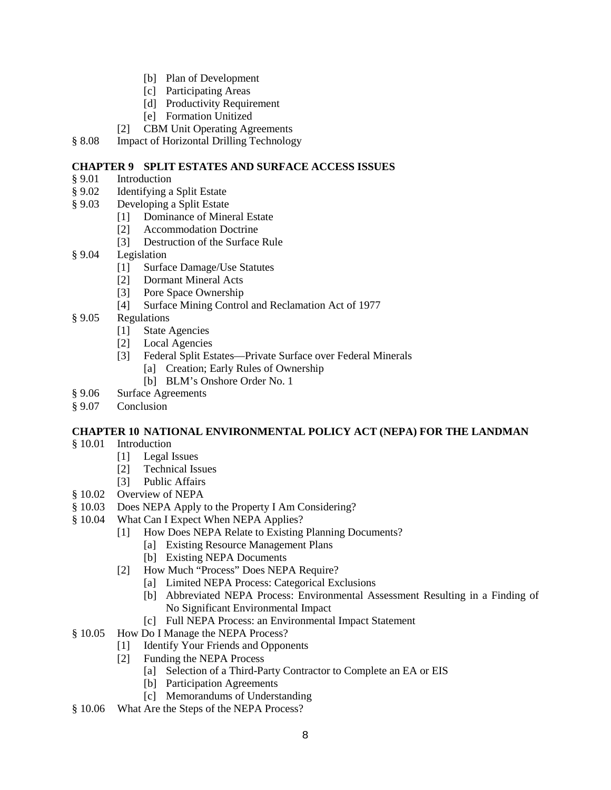- [b] Plan of Development
- [c] Participating Areas
- [d] Productivity Requirement
- [e] Formation Unitized
- [2] CBM Unit Operating Agreements
- § 8.08 Impact of Horizontal Drilling Technology

### **CHAPTER 9 SPLIT ESTATES AND SURFACE ACCESS ISSUES**

- § 9.01 Introduction
- § 9.02 Identifying a Split Estate
- § 9.03 Developing a Split Estate
	- [1] Dominance of Mineral Estate
	- [2] Accommodation Doctrine
	- [3] Destruction of the Surface Rule
- § 9.04 Legislation
	- [1] Surface Damage/Use Statutes
	- [2] Dormant Mineral Acts
	- [3] Pore Space Ownership
	- [4] Surface Mining Control and Reclamation Act of 1977
- § 9.05 Regulations
	- [1] State Agencies
	- [2] Local Agencies
	- [3] Federal Split Estates—Private Surface over Federal Minerals
		- [a] Creation; Early Rules of Ownership
		- [b] BLM's Onshore Order No. 1
- § 9.06 Surface Agreements
- § 9.07 Conclusion

#### **CHAPTER 10 NATIONAL ENVIRONMENTAL POLICY ACT (NEPA) FOR THE LANDMAN**

- § 10.01 Introduction
	- [1] Legal Issues
	- [2] Technical Issues
	- [3] Public Affairs
- § 10.02 Overview of NEPA
- § 10.03 Does NEPA Apply to the Property I Am Considering?
- § 10.04 What Can I Expect When NEPA Applies?
	- [1] How Does NEPA Relate to Existing Planning Documents?
		- [a] Existing Resource Management Plans
		- [b] Existing NEPA Documents
	- [2] How Much "Process" Does NEPA Require?
		- [a] Limited NEPA Process: Categorical Exclusions
		- [b] Abbreviated NEPA Process: Environmental Assessment Resulting in a Finding of No Significant Environmental Impact
		- [c] Full NEPA Process: an Environmental Impact Statement
- § 10.05 How Do I Manage the NEPA Process?
	- [1] Identify Your Friends and Opponents
	- [2] Funding the NEPA Process
		- [a] Selection of a Third-Party Contractor to Complete an EA or EIS
		- [b] Participation Agreements
		- [c] Memorandums of Understanding
- § 10.06 What Are the Steps of the NEPA Process?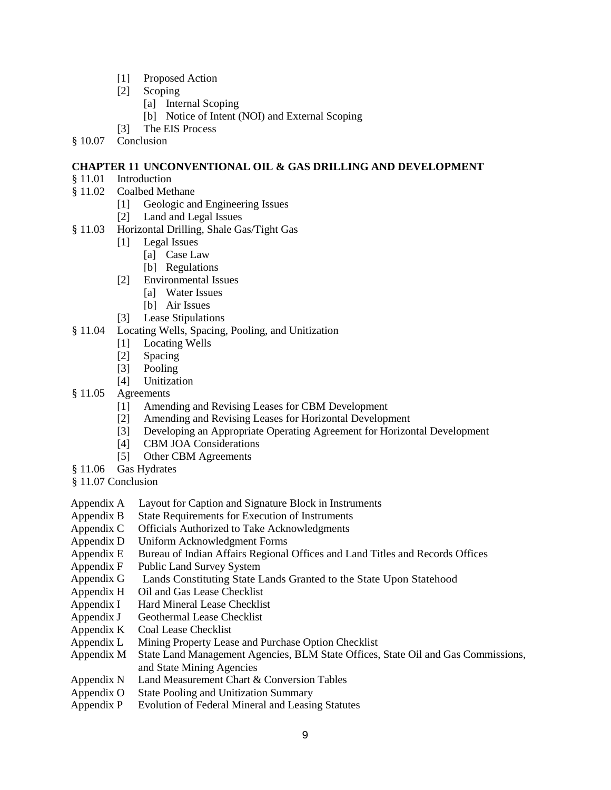- [1] Proposed Action
- [2] Scoping
	- [a] Internal Scoping
	- [b] Notice of Intent (NOI) and External Scoping
- [3] The EIS Process
- § 10.07 Conclusion

### **CHAPTER 11 UNCONVENTIONAL OIL & GAS DRILLING AND DEVELOPMENT**

- § 11.01 Introduction
- § 11.02 Coalbed Methane
	- [1] Geologic and Engineering Issues
	- [2] Land and Legal Issues
- § 11.03 Horizontal Drilling, Shale Gas/Tight Gas
	- [1] Legal Issues
		- [a] Case Law
		- [b] Regulations
	- [2] Environmental Issues
		- [a] Water Issues
		- [b] Air Issues
	- [3] Lease Stipulations
- § 11.04 Locating Wells, Spacing, Pooling, and Unitization
	- [1] Locating Wells
	- [2] Spacing
	- [3] Pooling
	- [4] Unitization
- § 11.05 Agreements
	- [1] Amending and Revising Leases for CBM Development
	- [2] Amending and Revising Leases for Horizontal Development
	- [3] Developing an Appropriate Operating Agreement for Horizontal Development
	- [4] CBM JOA Considerations
	- [5] Other CBM Agreements
- § 11.06 Gas Hydrates
- § 11.07 Conclusion
- Appendix A Layout for Caption and Signature Block in Instruments
- Appendix B State Requirements for Execution of Instruments
- Appendix C Officials Authorized to Take Acknowledgments
- Appendix D Uniform Acknowledgment Forms
- Appendix E Bureau of Indian Affairs Regional Offices and Land Titles and Records Offices
- Appendix F Public Land Survey System
- Appendix G Lands Constituting State Lands Granted to the State Upon Statehood
- Appendix H Oil and Gas Lease Checklist
- Appendix I Hard Mineral Lease Checklist
- Appendix J Geothermal Lease Checklist
- Appendix K Coal Lease Checklist
- Appendix L Mining Property Lease and Purchase Option Checklist
- Appendix M State Land Management Agencies, BLM State Offices, State Oil and Gas Commissions, and State Mining Agencies
- Appendix N Land Measurement Chart & Conversion Tables
- Appendix O State Pooling and Unitization Summary
- Appendix P Evolution of Federal Mineral and Leasing Statutes